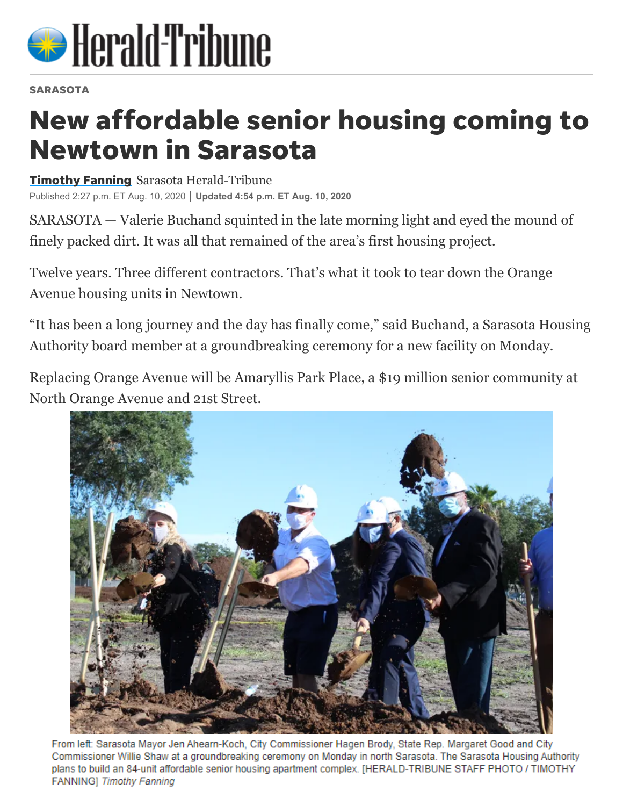

## **SARASOTA**

## New affordable senior housing coming to Newtown in Sarasota

**Timothy Fanning** Sarasota Herald-Tribune Published 2:27 p.m. ET Aug. 10, 2020 **Updated 4:54 p.m. ET Aug. 10, 2020**

[SARASOTA — Va](https://www.heraldtribune.com/staff/5573708002/timothy-fanning/)lerie Buchand squinted in the late morning light and eyed the mound of finely packed dirt. It was all that remained of the area's [first housing project.](https://www.heraldtribune.com/news/20200327/wrecking-ball-can-demolish-orange-ave-projects-mdash-but-not-memories)

Twelve years. Three different contractors. That's what it took to tear down the Orange Avenue housing units in Newtown.

"It has been a long journey and the day has finally come," said Buchand, a Sarasota Housing Authority board member at a groundbreaking ceremony for a new facility on Monday.

Replacing Orange Avenue will be [Amaryllis Park Place](http://sarasotahousing.org/redevelopment.aspx?section=sites), a \$19 million senior community at North Orange Avenue and 21st Street.



From left: Sarasota Mayor Jen Ahearn-Koch, City Commissioner Hagen Brody, State Rep. Margaret Good and City Commissioner Willie Shaw at a groundbreaking ceremony on Monday in north Sarasota. The Sarasota Housing Authority plans to build an 84-unit affordable senior housing apartment complex. [HERALD-TRIBUNE STAFF PHOTO / TIMOTHY **FANNING**] Timothy Fanning